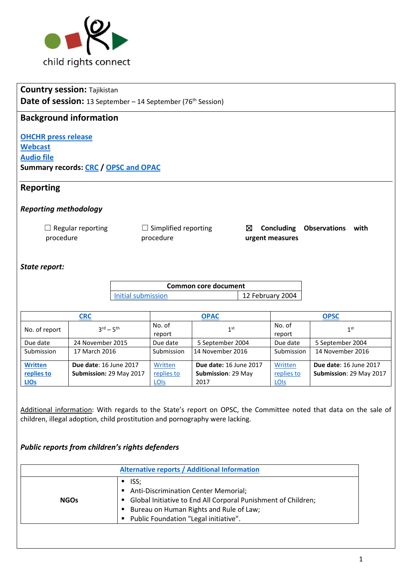

# **Country session:** Tajikistan **Date of session:** 13 September – 14 September (76<sup>th</sup> Session)

## **Background information**

**[OHCHR press release](http://www.ohchr.org/EN/NewsEvents/Pages/DisplayNews.aspx?NewsID=22069&LangID=E) [Webcast](http://webtv.un.org/search/consideration-of-tajikistan-2226th-meeting-76th-session-committee-on-the-rights-of-the-child/5574835483001/?term=&lan=english&cat=CRC&sort=date&page=2) [Audio file](https://conf.unog.ch/digitalrecordings/) Summary records: [CRC](http://tbinternet.ohchr.org/_layouts/treatybodyexternal/Download.aspx?symbolno=CRC%2fC%2fSR.2227&Lang=en) / OPSC [and OPAC](http://tbinternet.ohchr.org/_layouts/treatybodyexternal/Download.aspx?symbolno=CRC%2fC%2fSR.2228&Lang=en)**

## **Reporting**

### *Reporting methodology*

| $\Box$ Regular reporting | $\Box$ Simplified reporting |                 | $\boxtimes$ Concluding Observations with |  |
|--------------------------|-----------------------------|-----------------|------------------------------------------|--|
| procedure                | procedure                   | urgent measures |                                          |  |

### *State report:*

| Common core document |                  |  |
|----------------------|------------------|--|
| Initial submission   | 12 February 2004 |  |

|                | <b>CRC</b>                      |                  | <b>OPAC</b>                   |                  | <b>OPSC</b>             |
|----------------|---------------------------------|------------------|-------------------------------|------------------|-------------------------|
| No. of report  | $3^{\text{rd}} - 5^{\text{th}}$ | No. of<br>report | 1 <sup>st</sup>               | No. of<br>report | 1 <sup>st</sup>         |
| Due date       | 24 November 2015                | Due date         | 5 September 2004              | Due date         | 5 September 2004        |
| Submission     | 17 March 2016                   | Submission       | 14 November 2016              | Submission       | 14 November 2016        |
| <b>Written</b> | <b>Due date: 16 June 2017</b>   | Written          | <b>Due date: 16 June 2017</b> | Written          | Due date: 16 June 2017  |
| replies to     | Submission: 29 May 2017         | replies to       | Submission: 29 May            | replies to       | Submission: 29 May 2017 |
| <b>LIOS</b>    |                                 | <b>LOIS</b>      | 2017                          | <b>LOIS</b>      |                         |

Additional information: With regards to the State's report on OPSC, the Committee noted that data on the sale of children, illegal adoption, child prostitution and pornography were lacking.

## *Public reports from children's rights defenders*

|             | <b>Alternative reports / Additional Information</b>                                                                                                                                                                                  |
|-------------|--------------------------------------------------------------------------------------------------------------------------------------------------------------------------------------------------------------------------------------|
| <b>NGOs</b> | ISS:<br><b>Anti-Discrimination Center Memorial;</b><br>٠<br>Global Initiative to End All Corporal Punishment of Children;<br>п<br>Bureau on Human Rights and Rule of Law;<br>Public Foundation "Legal initiative".<br>$\blacksquare$ |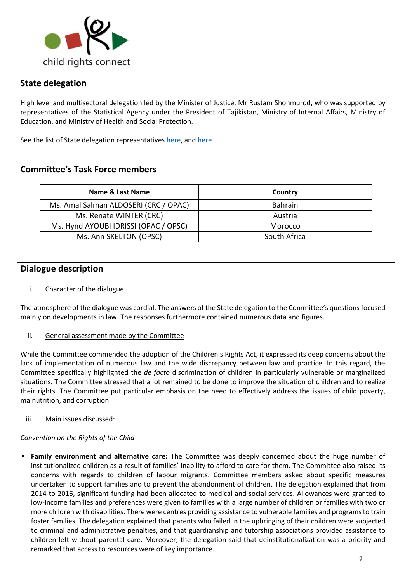

# **State delegation**

High level and multisectoral delegation led by the Minister of Justice, Mr Rustam Shohmurod, who was supported by representatives of the Statistical Agency under the President of Tajikistan, Ministry of Internal Affairs, Ministry of Education, and Ministry of Health and Social Protection.

See the list of State delegation representative[s here,](http://tbinternet.ohchr.org/_layouts/treatybodyexternal/Download.aspx?symbolno=INT%2fCRC%2fLOP%2fTJK%2f28900&Lang=en) an[d here.](http://tbinternet.ohchr.org/Treaties/CRC/Shared%20Documents/TJK/INT_CRC_LOP_TJK_28897_E.pdf)

# **Committee's Task Force members**

| Name & Last Name                      | Country        |
|---------------------------------------|----------------|
| Ms. Amal Salman ALDOSERI (CRC / OPAC) | <b>Bahrain</b> |
| Ms. Renate WINTER (CRC)               | Austria        |
| Ms. Hynd AYOUBI IDRISSI (OPAC / OPSC) | Morocco        |
| Ms. Ann SKELTON (OPSC)                | South Africa   |

# **Dialogue description**

### i. Character of the dialogue

The atmosphere of the dialogue was cordial. The answers of the State delegation to the Committee's questions focused mainly on developments in law. The responses furthermore contained numerous data and figures.

### ii. General assessment made by the Committee

While the Committee commended the adoption of the Children's Rights Act, it expressed its deep concerns about the lack of implementation of numerous law and the wide discrepancy between law and practice. In this regard, the Committee specifically highlighted the *de facto* discrimination of children in particularly vulnerable or marginalized situations. The Committee stressed that a lot remained to be done to improve the situation of children and to realize their rights. The Committee put particular emphasis on the need to effectively address the issues of child poverty, malnutrition, and corruption.

### iii. Main issues discussed:

### *Convention on the Rights of the Child*

▪ **Family environment and alternative care:** The Committee was deeply concerned about the huge number of institutionalized children as a result of families' inability to afford to care for them. The Committee also raised its concerns with regards to children of labour migrants. Committee members asked about specific measures undertaken to support families and to prevent the abandonment of children. The delegation explained that from 2014 to 2016, significant funding had been allocated to medical and social services. Allowances were granted to low-income families and preferences were given to families with a large number of children or families with two or more children with disabilities. There were centres providing assistance to vulnerable families and programs to train foster families. The delegation explained that parents who failed in the upbringing of their children were subjected to criminal and administrative penalties, and that guardianship and tutorship associations provided assistance to children left without parental care. Moreover, the delegation said that deinstitutionalization was a priority and remarked that access to resources were of key importance.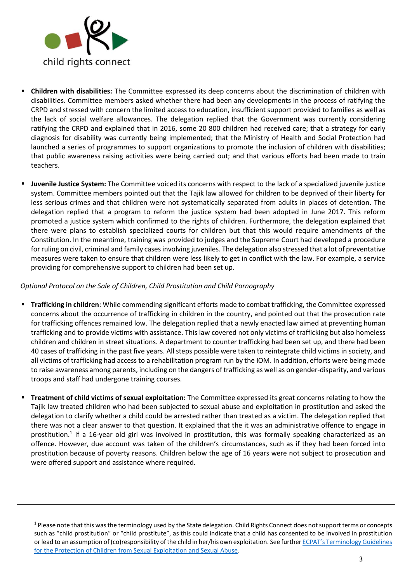

**.** 

- **Children with disabilities:** The Committee expressed its deep concerns about the discrimination of children with disabilities. Committee members asked whether there had been any developments in the process of ratifying the CRPD and stressed with concern the limited access to education, insufficient support provided to families as well as the lack of social welfare allowances. The delegation replied that the Government was currently considering ratifying the CRPD and explained that in 2016, some 20 800 children had received care; that a strategy for early diagnosis for disability was currently being implemented; that the Ministry of Health and Social Protection had launched a series of programmes to support organizations to promote the inclusion of children with disabilities; that public awareness raising activities were being carried out; and that various efforts had been made to train teachers.
- **Juvenile Justice System:** The Committee voiced its concerns with respect to the lack of a specialized juvenile justice system. Committee members pointed out that the Tajik law allowed for children to be deprived of their liberty for less serious crimes and that children were not systematically separated from adults in places of detention. The delegation replied that a program to reform the justice system had been adopted in June 2017. This reform promoted a justice system which confirmed to the rights of children. Furthermore, the delegation explained that there were plans to establish specialized courts for children but that this would require amendments of the Constitution. In the meantime, training was provided to judges and the Supreme Court had developed a procedure for ruling on civil, criminal and family cases involving juveniles. The delegation also stressed that a lot of preventative measures were taken to ensure that children were less likely to get in conflict with the law. For example, a service providing for comprehensive support to children had been set up.

#### *Optional Protocol on the Sale of Children, Child Prostitution and Child Pornography*

- **Trafficking in children**: While commending significant efforts made to combat trafficking, the Committee expressed concerns about the occurrence of trafficking in children in the country, and pointed out that the prosecution rate for trafficking offences remained low. The delegation replied that a newly enacted law aimed at preventing human trafficking and to provide victims with assistance. This law covered not only victims of trafficking but also homeless children and children in street situations. A department to counter trafficking had been set up, and there had been 40 cases of trafficking in the past five years. All steps possible were taken to reintegrate child victims in society, and all victims of trafficking had access to a rehabilitation program run by the IOM. In addition, efforts were being made to raise awareness among parents, including on the dangers of trafficking as well as on gender-disparity, and various troops and staff had undergone training courses.
- **Treatment of child victims of sexual exploitation:** The Committee expressed its great concerns relating to how the Tajik law treated children who had been subjected to sexual abuse and exploitation in prostitution and asked the delegation to clarify whether a child could be arrested rather than treated as a victim. The delegation replied that there was not a clear answer to that question. It explained that the it was an administrative offence to engage in prostitution.<sup>1</sup> If a 16-year old girl was involved in prostitution, this was formally speaking characterized as an offence. However, due account was taken of the children's circumstances, such as if they had been forced into prostitution because of poverty reasons. Children below the age of 16 years were not subject to prosecution and were offered support and assistance where required.

<sup>&</sup>lt;sup>1</sup> Please note that this was the terminology used by the State delegation. Child Rights Connect does not support terms or concepts such as "child prostitution" or "child prostitute", as this could indicate that a child has consented to be involved in prostitution or lead to an assumption of (co)responsibility of the child in her/his own exploitation. See further ECPAT's Terminology Guidelines [for the Protection of Children from Sexual Exploitation and Sexual Abuse.](http://www.ecpat.org/wp-content/uploads/2016/12/Terminology-guidelines_ENG.pdf)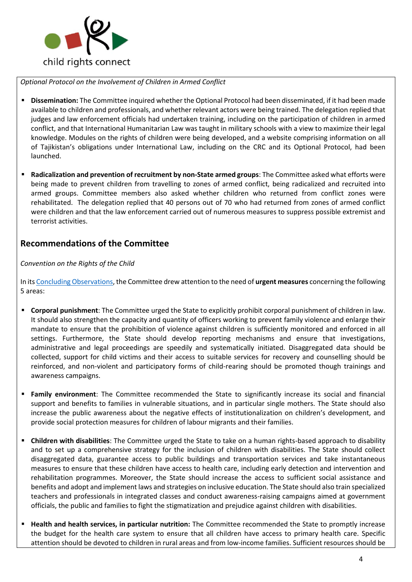

*Optional Protocol on the Involvement of Children in Armed Conflict*

- **Dissemination:** The Committee inquired whether the Optional Protocol had been disseminated, if it had been made available to children and professionals, and whether relevant actors were being trained. The delegation replied that judges and law enforcement officials had undertaken training, including on the participation of children in armed conflict, and that International Humanitarian Law was taught in military schools with a view to maximize their legal knowledge. Modules on the rights of children were being developed, and a website comprising information on all of Tajikistan's obligations under International Law, including on the CRC and its Optional Protocol, had been launched.
- **Radicalization and prevention of recruitment by non-State armed groups**: The Committee asked what efforts were being made to prevent children from travelling to zones of armed conflict, being radicalized and recruited into armed groups. Committee members also asked whether children who returned from conflict zones were rehabilitated. The delegation replied that 40 persons out of 70 who had returned from zones of armed conflict were children and that the law enforcement carried out of numerous measures to suppress possible extremist and terrorist activities.

## **Recommendations of the Committee**

#### *Convention on the Rights of the Child*

In it[s Concluding Observations,](http://tbinternet.ohchr.org/_layouts/treatybodyexternal/Download.aspx?symbolno=CRC%2fTJK%2fCO%2f3-5&Lang=en) the Committee drew attention to the need of **urgent measures** concerning the following 5 areas:

- **Corporal punishment**: The Committee urged the State to explicitly prohibit corporal punishment of children in law. It should also strengthen the capacity and quantity of officers working to prevent family violence and enlarge their mandate to ensure that the prohibition of violence against children is sufficiently monitored and enforced in all settings. Furthermore, the State should develop reporting mechanisms and ensure that investigations, administrative and legal proceedings are speedily and systematically initiated. Disaggregated data should be collected, support for child victims and their access to suitable services for recovery and counselling should be reinforced, and non-violent and participatory forms of child-rearing should be promoted though trainings and awareness campaigns.
- **Family environment**: The Committee recommended the State to significantly increase its social and financial support and benefits to families in vulnerable situations, and in particular single mothers. The State should also increase the public awareness about the negative effects of institutionalization on children's development, and provide social protection measures for children of labour migrants and their families.
- **Children with disabilities**: The Committee urged the State to take on a human rights-based approach to disability and to set up a comprehensive strategy for the inclusion of children with disabilities. The State should collect disaggregated data, guarantee access to public buildings and transportation services and take instantaneous measures to ensure that these children have access to health care, including early detection and intervention and rehabilitation programmes. Moreover, the State should increase the access to sufficient social assistance and benefits and adopt and implement laws and strategies on inclusive education. The State should also train specialized teachers and professionals in integrated classes and conduct awareness-raising campaigns aimed at government officials, the public and families to fight the stigmatization and prejudice against children with disabilities.
- **Health and health services, in particular nutrition:** The Committee recommended the State to promptly increase the budget for the health care system to ensure that all children have access to primary health care. Specific attention should be devoted to children in rural areas and from low-income families. Sufficient resources should be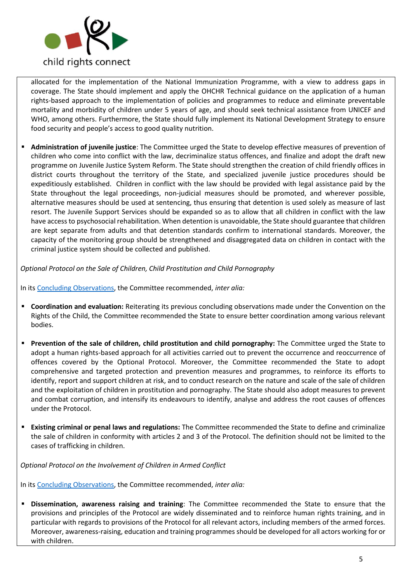

allocated for the implementation of the National Immunization Programme, with a view to address gaps in coverage. The State should implement and apply the OHCHR Technical guidance on the application of a human rights-based approach to the implementation of policies and programmes to reduce and eliminate preventable mortality and morbidity of children under 5 years of age, and should seek technical assistance from UNICEF and WHO, among others. Furthermore, the State should fully implement its National Development Strategy to ensure food security and people's access to good quality nutrition.

Administration of juvenile justice: The Committee urged the State to develop effective measures of prevention of children who come into conflict with the law, decriminalize status offences, and finalize and adopt the draft new programme on Juvenile Justice System Reform. The State should strengthen the creation of child friendly offices in district courts throughout the territory of the State, and specialized juvenile justice procedures should be expeditiously established. Children in conflict with the law should be provided with legal assistance paid by the State throughout the legal proceedings, non-judicial measures should be promoted, and wherever possible, alternative measures should be used at sentencing, thus ensuring that detention is used solely as measure of last resort. The Juvenile Support Services should be expanded so as to allow that all children in conflict with the law have access to psychosocial rehabilitation. When detention is unavoidable, the State should guarantee that children are kept separate from adults and that detention standards confirm to international standards. Moreover, the capacity of the monitoring group should be strengthened and disaggregated data on children in contact with the criminal justice system should be collected and published.

#### *Optional Protocol on the Sale of Children, Child Prostitution and Child Pornography*

In it[s Concluding Observations,](http://tbinternet.ohchr.org/_layouts/treatybodyexternal/Download.aspx?symbolno=CRC%2fC%2fOPSC%2fTJK%2fCO%2f1&Lang=en) the Committee recommended, *inter alia:* 

- **Coordination and evaluation:** Reiterating its previous concluding observations made under the Convention on the Rights of the Child, the Committee recommended the State to ensure better coordination among various relevant bodies.
- **Prevention of the sale of children, child prostitution and child pornography:** The Committee urged the State to adopt a human rights-based approach for all activities carried out to prevent the occurrence and reoccurrence of offences covered by the Optional Protocol. Moreover, the Committee recommended the State to adopt comprehensive and targeted protection and prevention measures and programmes, to reinforce its efforts to identify, report and support children at risk, and to conduct research on the nature and scale of the sale of children and the exploitation of children in prostitution and pornography. The State should also adopt measures to prevent and combat corruption, and intensify its endeavours to identify, analyse and address the root causes of offences under the Protocol.
- **Existing criminal or penal laws and regulations:** The Committee recommended the State to define and criminalize the sale of children in conformity with articles 2 and 3 of the Protocol. The definition should not be limited to the cases of trafficking in children.

#### *Optional Protocol on the Involvement of Children in Armed Conflict*

In it[s Concluding Observations,](http://tbinternet.ohchr.org/_layouts/treatybodyexternal/Download.aspx?symbolno=CRC%2fC%2fOPAC%2fTJK%2fCO%2f1&Lang=en) the Committee recommended, *inter alia:* 

**Dissemination, awareness raising and training**: The Committee recommended the State to ensure that the provisions and principles of the Protocol are widely disseminated and to reinforce human rights training, and in particular with regards to provisions of the Protocol for all relevant actors, including members of the armed forces. Moreover, awareness-raising, education and training programmes should be developed for all actors working for or with children.